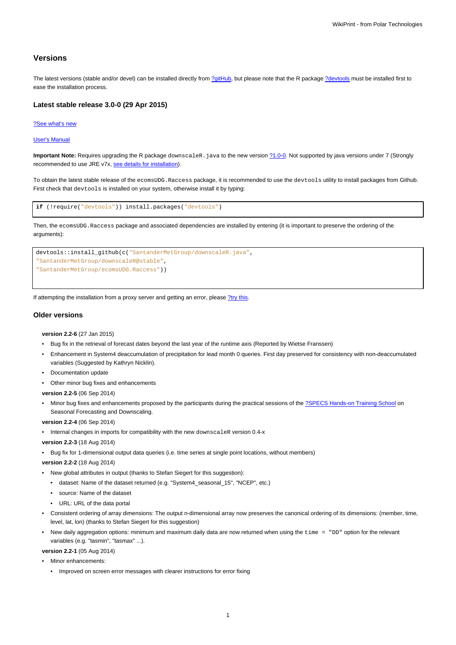# **Versions**

The latest versions (stable and/or devel) can be installed directly from [?gitHub,](https://github.com/SantanderMetGroup/ecomsUDG.Raccess) but please note that the R package [?devtools](http://cran.r-project.org/web/packages/devtools/index.html) must be installed first to ease the installation process.

## **Latest stable release 3.0-0 (29 Apr 2015)**

#### [?See what's new](https://github.com/SantanderMetGroup/ecomsUDG.Raccess/releases/tag/v3.3-0)

#### [User's Manual](https://meteo.unican.es/trac/raw-attachment/wiki/EcomsUdg/DataPortal_Tutorial_v2.pdf)

Important Note: Requires upgrading the R package downscaleR. java to the new version  $\frac{?1.0-0.}{?}$  $\frac{?1.0-0.}{?}$  $\frac{?1.0-0.}{?}$  Not supported by java versions under 7 (Strongly recommended to use JRE v7x, [see details for installation](https://meteo.unican.es/trac/wiki/udg/ecoms/RPackage/prerequisites)).

To obtain the latest stable release of the ecomsUDG.Raccess package, it is recommended to use the devtools utility to install packages from Github. First check that devtools is installed on your system, otherwise install it by typing:

```
if (!require("devtools")) install.packages("devtools")
```
Then, the ecomsUDG.Raccess package and associated dependencies are installed by entering (it is important to preserve the ordering of the arguments):



If attempting the installation from a proxy server and getting an error, please [?try this.](http://meteo.unican.es/trac/wiki/udg/ecoms/RPackage/setup_proxy)

# **Older versions**

**version 2.2-6** (27 Jan 2015)

- Bug fix in the retrieval of forecast dates beyond the last year of the runtime axis (Reported by Wietse Franssen)
- Enhancement in System4 deaccumulation of precipitation for lead month 0 queries. First day preserved for consistency with non-deaccumulated variables (Suggested by Kathryn Nicklin).
- Documentation update
- Other minor bug fixes and enhancements

**version 2.2-5** (06 Sep 2014)

Minor bug fixes and enhancements proposed by the participants during the practical sessions of the [?SPECS Hands-on Training School](http://www.meteo.unican.es/projects/specs/workshop2014) on Seasonal Forecasting and Downscaling.

**version 2.2-4** (06 Sep 2014)

- Internal changes in imports for compatibility with the new downscaleR version 0.4-x
- **version 2.2-3** (18 Aug 2014)
- Bug fix for 1-dimensional output data queries (i.e. time series at single point locations, without members)

**version 2.2-2** (18 Aug 2014)

- New global attributes in output (thanks to Stefan Siegert for this suggestion):
	- dataset: Name of the dataset returned (e.g. "System4\_seasonal\_15", "NCEP", etc.)
	- source: Name of the dataset
	- URL: URL of the data portal
- Consistent ordering of array dimensions: The output n-dimensional array now preserves the canonical ordering of its dimensions: (member, time, level, lat, lon) (thanks to Stefan Siegert for this suggestion)
- New daily aggregation options: minimum and maximum daily data are now returned when using the time = "DD" option for the relevant variables (e.g. "tasmin", "tasmax" ...).

**version 2.2-1** (05 Aug 2014)

- Minor enhancements:
	- Improved on screen error messages with clearer instructions for error fixing